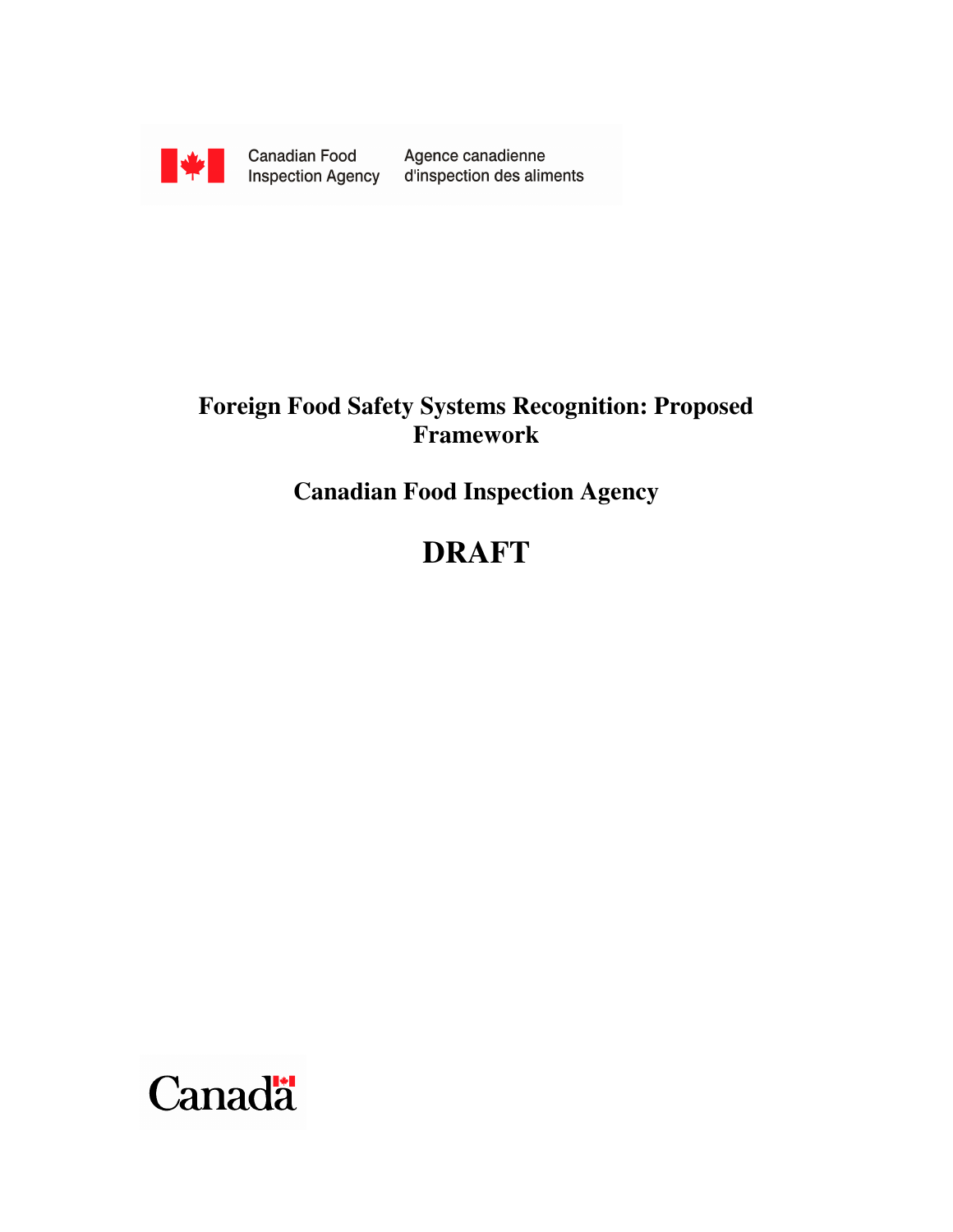

Canadian Food Canadian Food<br>Inspection Agency

Agence canadienne d'inspection des aliments

# **Foreign Food Safety Systems Recognition: Proposed Framework**

**Canadian Food Inspection Agency** 

# **DRAFT**

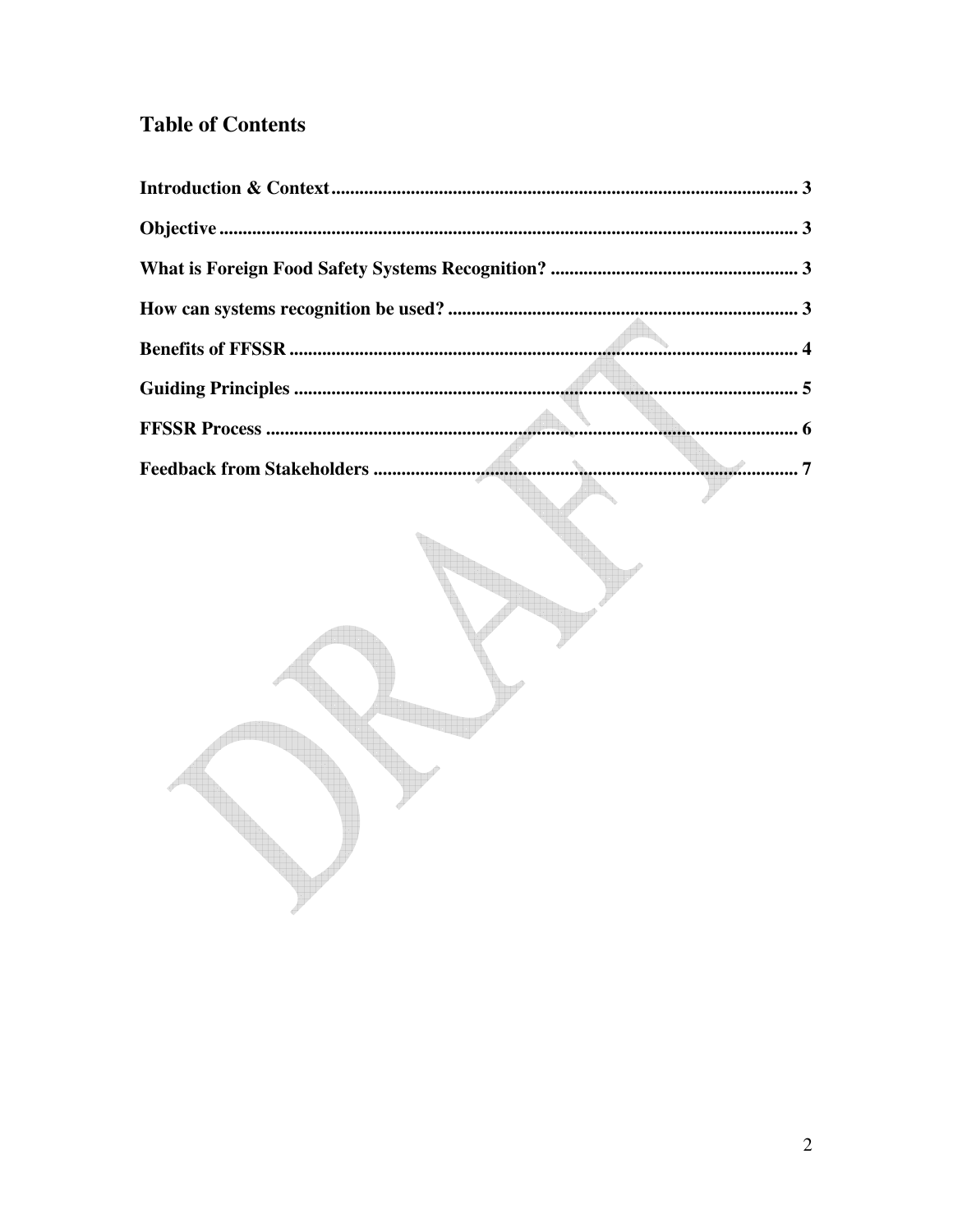## **Table of Contents**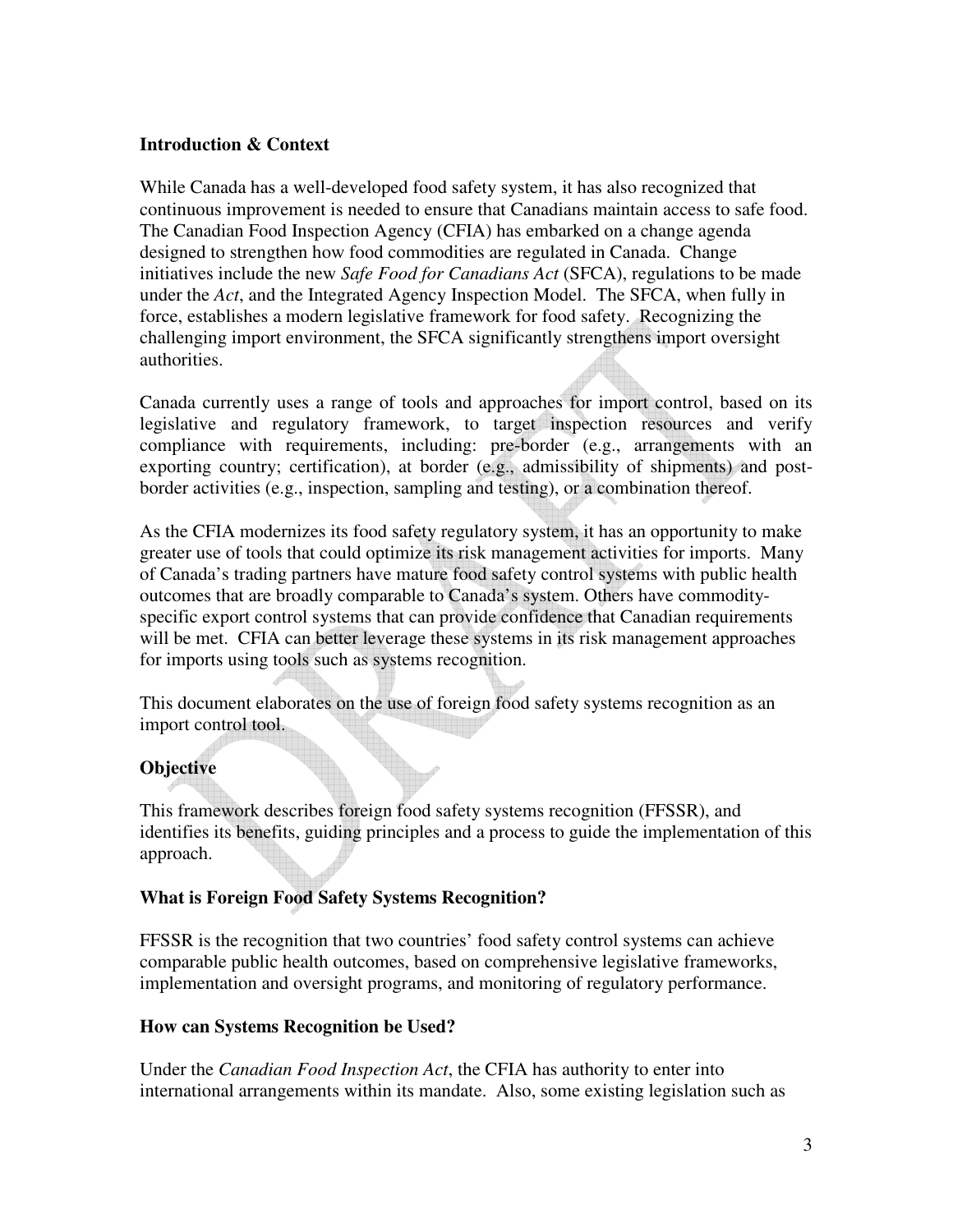#### **Introduction & Context**

While Canada has a well-developed food safety system, it has also recognized that continuous improvement is needed to ensure that Canadians maintain access to safe food. The Canadian Food Inspection Agency (CFIA) has embarked on a change agenda designed to strengthen how food commodities are regulated in Canada. Change initiatives include the new *Safe Food for Canadians Act* (SFCA), regulations to be made under the *Act*, and the Integrated Agency Inspection Model. The SFCA, when fully in force, establishes a modern legislative framework for food safety. Recognizing the challenging import environment, the SFCA significantly strengthens import oversight authorities.

Canada currently uses a range of tools and approaches for import control, based on its legislative and regulatory framework, to target inspection resources and verify compliance with requirements, including: pre-border (e.g., arrangements with an exporting country; certification), at border (e.g., admissibility of shipments) and postborder activities (e.g., inspection, sampling and testing), or a combination thereof.

As the CFIA modernizes its food safety regulatory system, it has an opportunity to make greater use of tools that could optimize its risk management activities for imports. Many of Canada's trading partners have mature food safety control systems with public health outcomes that are broadly comparable to Canada's system. Others have commodityspecific export control systems that can provide confidence that Canadian requirements will be met. CFIA can better leverage these systems in its risk management approaches for imports using tools such as systems recognition.

This document elaborates on the use of foreign food safety systems recognition as an import control tool.

## **Objective**

This framework describes foreign food safety systems recognition (FFSSR), and identifies its benefits, guiding principles and a process to guide the implementation of this approach.

#### **What is Foreign Food Safety Systems Recognition?**

FFSSR is the recognition that two countries' food safety control systems can achieve comparable public health outcomes, based on comprehensive legislative frameworks, implementation and oversight programs, and monitoring of regulatory performance.

#### **How can Systems Recognition be Used?**

Under the *Canadian Food Inspection Act*, the CFIA has authority to enter into international arrangements within its mandate. Also, some existing legislation such as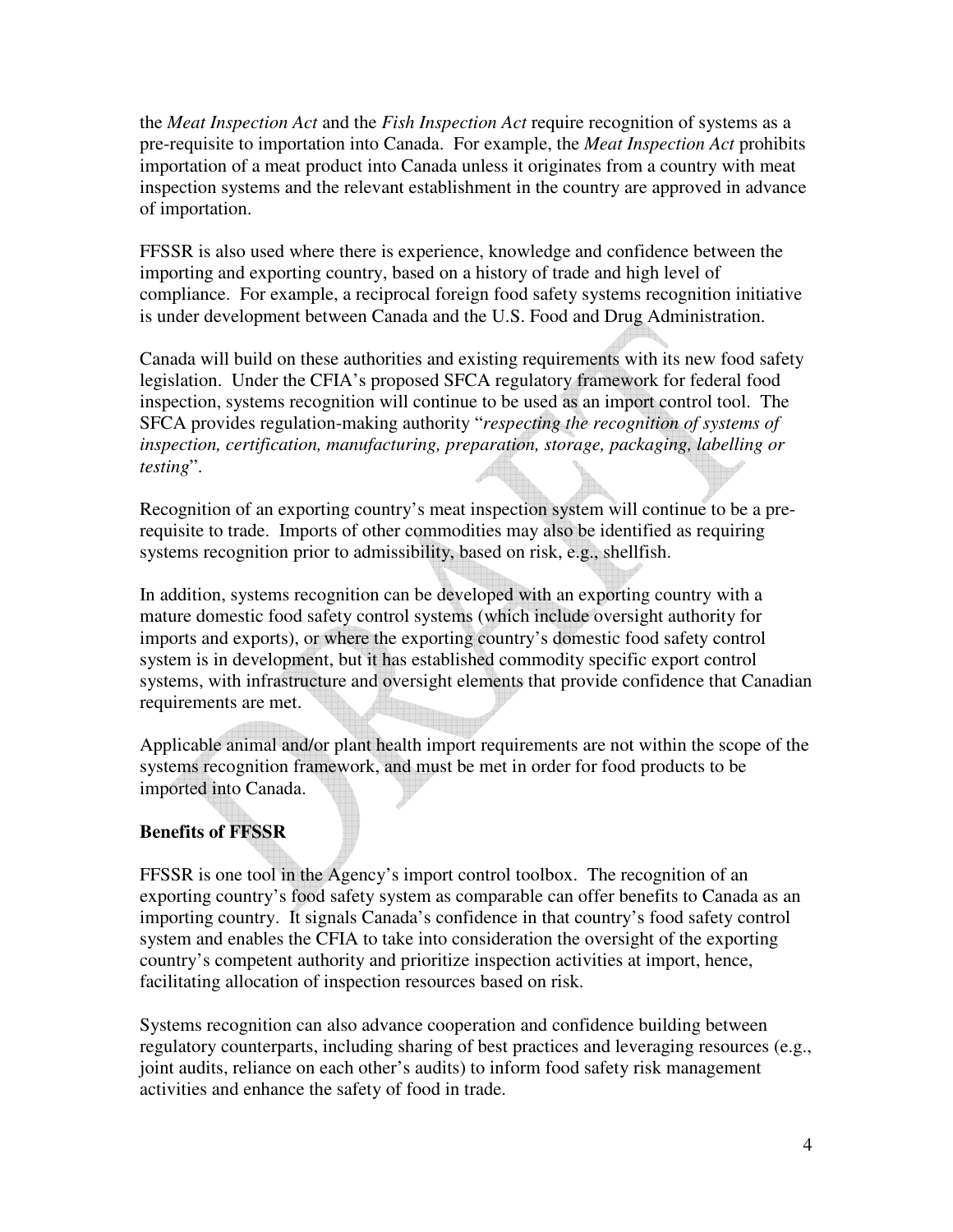the *Meat Inspection Act* and the *Fish Inspection Act* require recognition of systems as a pre-requisite to importation into Canada. For example, the *Meat Inspection Act* prohibits importation of a meat product into Canada unless it originates from a country with meat inspection systems and the relevant establishment in the country are approved in advance of importation.

FFSSR is also used where there is experience, knowledge and confidence between the importing and exporting country, based on a history of trade and high level of compliance. For example, a reciprocal foreign food safety systems recognition initiative is under development between Canada and the U.S. Food and Drug Administration.

Canada will build on these authorities and existing requirements with its new food safety legislation. Under the CFIA's proposed SFCA regulatory framework for federal food inspection, systems recognition will continue to be used as an import control tool. The SFCA provides regulation-making authority "*respecting the recognition of systems of inspection, certification, manufacturing, preparation, storage, packaging, labelling or testing*".

Recognition of an exporting country's meat inspection system will continue to be a prerequisite to trade. Imports of other commodities may also be identified as requiring systems recognition prior to admissibility, based on risk, e.g., shellfish.

In addition, systems recognition can be developed with an exporting country with a mature domestic food safety control systems (which include oversight authority for imports and exports), or where the exporting country's domestic food safety control system is in development, but it has established commodity specific export control systems, with infrastructure and oversight elements that provide confidence that Canadian requirements are met.

Applicable animal and/or plant health import requirements are not within the scope of the systems recognition framework, and must be met in order for food products to be imported into Canada.

#### **Benefits of FFSSR**

FFSSR is one tool in the Agency's import control toolbox. The recognition of an exporting country's food safety system as comparable can offer benefits to Canada as an importing country. It signals Canada's confidence in that country's food safety control system and enables the CFIA to take into consideration the oversight of the exporting country's competent authority and prioritize inspection activities at import, hence, facilitating allocation of inspection resources based on risk.

Systems recognition can also advance cooperation and confidence building between regulatory counterparts, including sharing of best practices and leveraging resources (e.g., joint audits, reliance on each other's audits) to inform food safety risk management activities and enhance the safety of food in trade.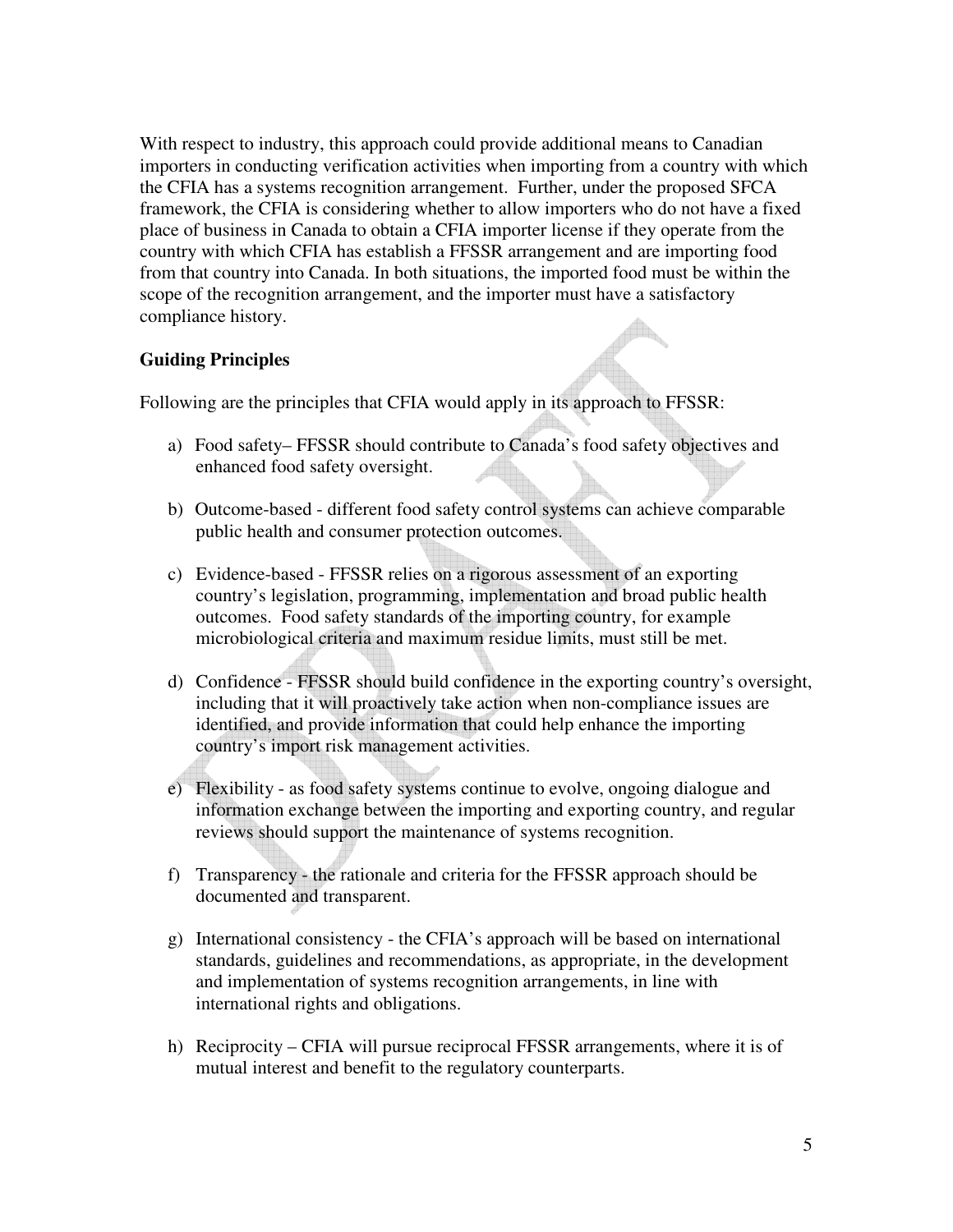With respect to industry, this approach could provide additional means to Canadian importers in conducting verification activities when importing from a country with which the CFIA has a systems recognition arrangement. Further, under the proposed SFCA framework, the CFIA is considering whether to allow importers who do not have a fixed place of business in Canada to obtain a CFIA importer license if they operate from the country with which CFIA has establish a FFSSR arrangement and are importing food from that country into Canada. In both situations, the imported food must be within the scope of the recognition arrangement, and the importer must have a satisfactory compliance history.

### **Guiding Principles**

Following are the principles that CFIA would apply in its approach to FFSSR:

- a) Food safety– FFSSR should contribute to Canada's food safety objectives and enhanced food safety oversight.
- b) Outcome-based different food safety control systems can achieve comparable public health and consumer protection outcomes.
- c) Evidence-based FFSSR relies on a rigorous assessment of an exporting country's legislation, programming, implementation and broad public health outcomes. Food safety standards of the importing country, for example microbiological criteria and maximum residue limits, must still be met.
- d) Confidence FFSSR should build confidence in the exporting country's oversight, including that it will proactively take action when non-compliance issues are identified, and provide information that could help enhance the importing country's import risk management activities.
- e) Flexibility as food safety systems continue to evolve, ongoing dialogue and information exchange between the importing and exporting country, and regular reviews should support the maintenance of systems recognition.
- f) Transparency the rationale and criteria for the FFSSR approach should be documented and transparent.
- g) International consistency the CFIA's approach will be based on international standards, guidelines and recommendations, as appropriate, in the development and implementation of systems recognition arrangements, in line with international rights and obligations.
- h) Reciprocity CFIA will pursue reciprocal FFSSR arrangements, where it is of mutual interest and benefit to the regulatory counterparts.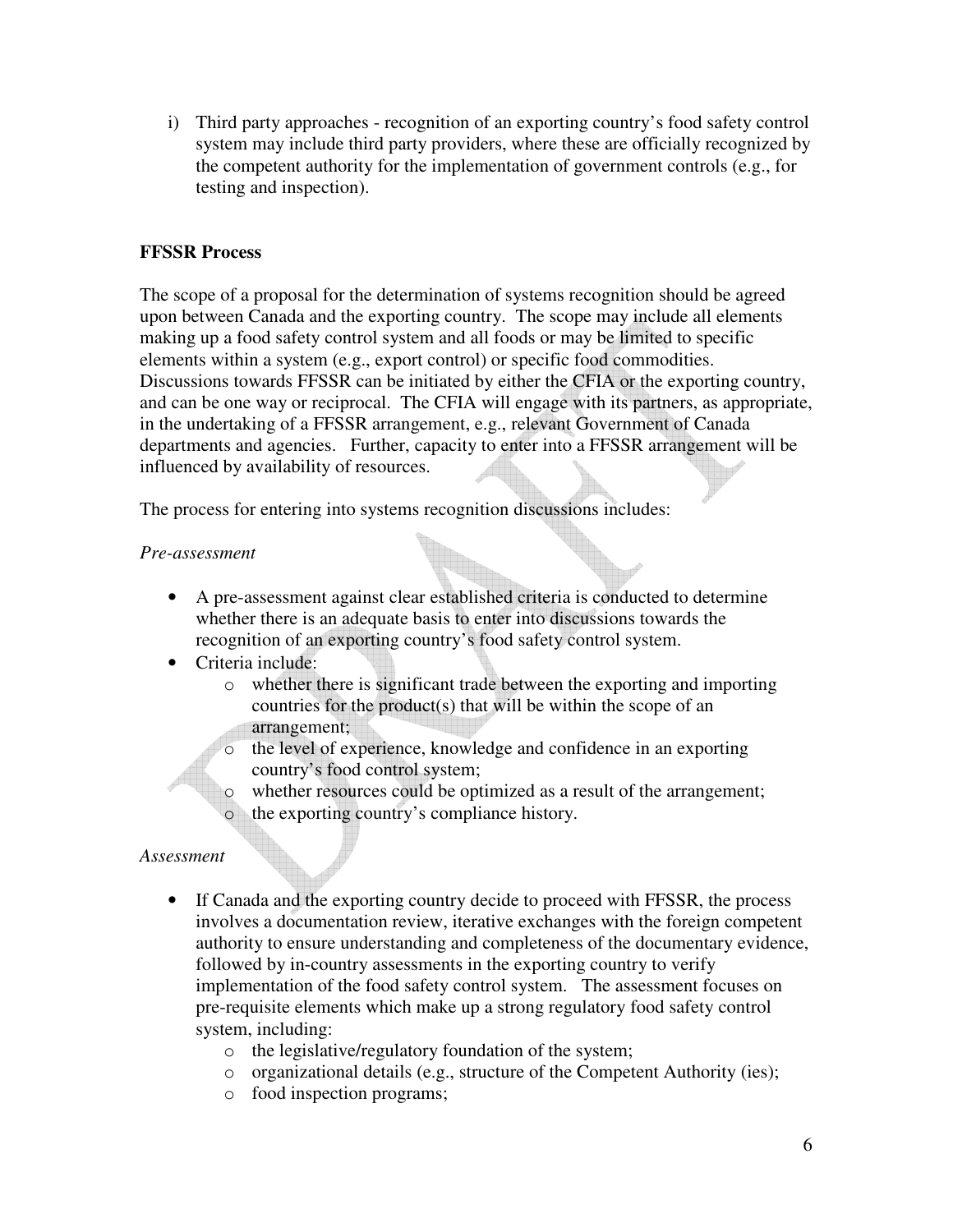i) Third party approaches - recognition of an exporting country's food safety control system may include third party providers, where these are officially recognized by the competent authority for the implementation of government controls (e.g., for testing and inspection).

### **FFSSR Process**

The scope of a proposal for the determination of systems recognition should be agreed upon between Canada and the exporting country. The scope may include all elements making up a food safety control system and all foods or may be limited to specific elements within a system (e.g., export control) or specific food commodities. Discussions towards FFSSR can be initiated by either the CFIA or the exporting country, and can be one way or reciprocal. The CFIA will engage with its partners, as appropriate, in the undertaking of a FFSSR arrangement, e.g., relevant Government of Canada departments and agencies. Further, capacity to enter into a FFSSR arrangement will be influenced by availability of resources.

The process for entering into systems recognition discussions includes:

#### *Pre-assessment*

- A pre-assessment against clear established criteria is conducted to determine whether there is an adequate basis to enter into discussions towards the recognition of an exporting country's food safety control system.
- Criteria include:
	- o whether there is significant trade between the exporting and importing countries for the product(s) that will be within the scope of an arrangement;
	- o the level of experience, knowledge and confidence in an exporting country's food control system;
	- whether resources could be optimized as a result of the arrangement;
	- the exporting country's compliance history.

#### *Assessment*

- If Canada and the exporting country decide to proceed with FFSSR, the process involves a documentation review, iterative exchanges with the foreign competent authority to ensure understanding and completeness of the documentary evidence, followed by in-country assessments in the exporting country to verify implementation of the food safety control system. The assessment focuses on pre-requisite elements which make up a strong regulatory food safety control system, including:
	- o the legislative/regulatory foundation of the system;
	- o organizational details (e.g., structure of the Competent Authority (ies);
	- o food inspection programs;